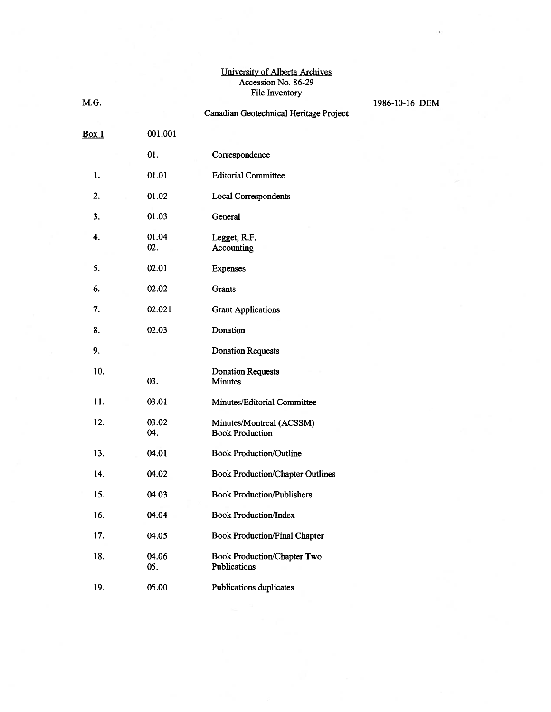M.G. 1986-10-16 DEM

|       |              | Canadian Geotechnical Heritage Project             |
|-------|--------------|----------------------------------------------------|
| Box 1 | 001.001      |                                                    |
|       | 01.          | Correspondence                                     |
| 1.    | 01.01        | <b>Editorial Committee</b>                         |
| 2.    | 01.02        | <b>Local Correspondents</b>                        |
| 3.    | 01.03        | General                                            |
| 4.    | 01.04<br>02. | Legget, R.F.<br>Accounting                         |
| 5.    | 02.01        | Expenses                                           |
| 6.    | 02.02        | Grants                                             |
| 7.    | 02.021       | <b>Grant Applications</b>                          |
| 8.    | 02.03        | Donation                                           |
| 9.    |              | <b>Donation Requests</b>                           |
| 10.   | 03.          | <b>Donation Requests</b><br><b>Minutes</b>         |
| 11.   | 03.01        | Minutes/Editorial Committee                        |
| 12.   | 03.02<br>04. | Minutes/Montreal (ACSSM)<br><b>Book Production</b> |
| 13.   | 04.01        | <b>Book Production/Outline</b>                     |
| 14.   | 04.02        | <b>Book Production/Chapter Outlines</b>            |
| 15.   | 04.03        | <b>Book Production/Publishers</b>                  |
| 16.   | 04.04        | <b>Book Production/Index</b>                       |
| 17.   | 04.05        | <b>Book Production/Final Chapter</b>               |
| 18.   | 04.06<br>05. | Book Production/Chapter Two<br>Publications        |
| 19.   | 05.00        | <b>Publications duplicates</b>                     |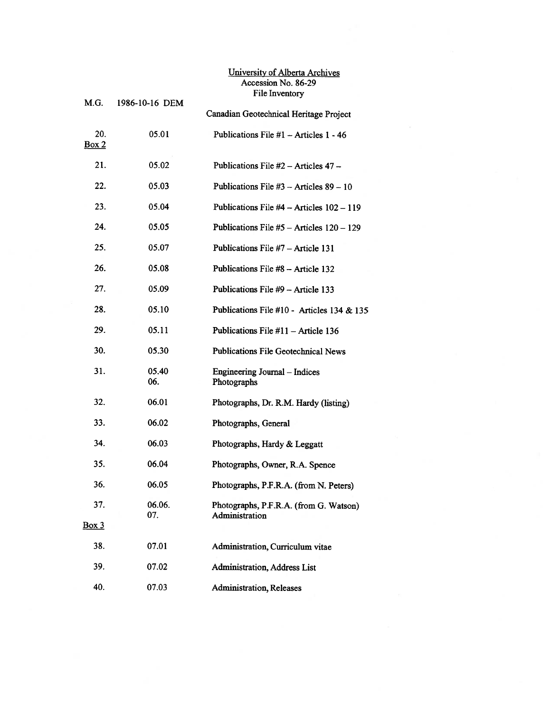| M.G.         | 1986-10-16 DEM |                                                          |
|--------------|----------------|----------------------------------------------------------|
|              |                | Canadian Geotechnical Heritage Project                   |
| 20.<br>Box 2 | 05.01          | Publications File #1 - Articles 1 - 46                   |
| 21.          | 05.02          | Publications File $#2$ – Articles 47 –                   |
| 22.          | 05.03          | Publications File $#3$ – Articles $89 - 10$              |
| 23.          | 05.04          | Publications File #4 - Articles 102 - 119                |
| 24.          | 05.05          | Publications File #5 - Articles 120 - 129                |
| 25.          | 05.07          | Publications File #7 - Article 131                       |
| 26.          | 05.08          | Publications File #8 - Article 132                       |
| 27.          | 05.09          | Publications File #9 - Article 133                       |
| 28.          | 05.10          | Publications File #10 - Articles 134 & 135               |
| 29.          | 05.11          | Publications File $#11 -$ Article 136                    |
| 30.          | 05.30          | <b>Publications File Geotechnical News</b>               |
| 31.          | 05.40<br>06.   | Engineering Journal - Indices<br>Photographs             |
| 32.          | 06.01          | Photographs, Dr. R.M. Hardy (listing)                    |
| 33.          | 06.02          | Photographs, General                                     |
| 34.          | 06.03          | Photographs, Hardy & Leggatt                             |
| 35.          | 06.04          | Photographs, Owner, R.A. Spence                          |
| 36.          | 06.05          | Photographs, P.F.R.A. (from N. Peters)                   |
| 37.          | 06.06.<br>07.  | Photographs, P.F.R.A. (from G. Watson)<br>Administration |
| $Box$ 3      |                |                                                          |
| 38.          | 07.01          | Administration, Curriculum vitae                         |
| 39.          | 07.02          | Administration, Address List                             |
| 40.          | 07.03          | <b>Administration</b> , Releases                         |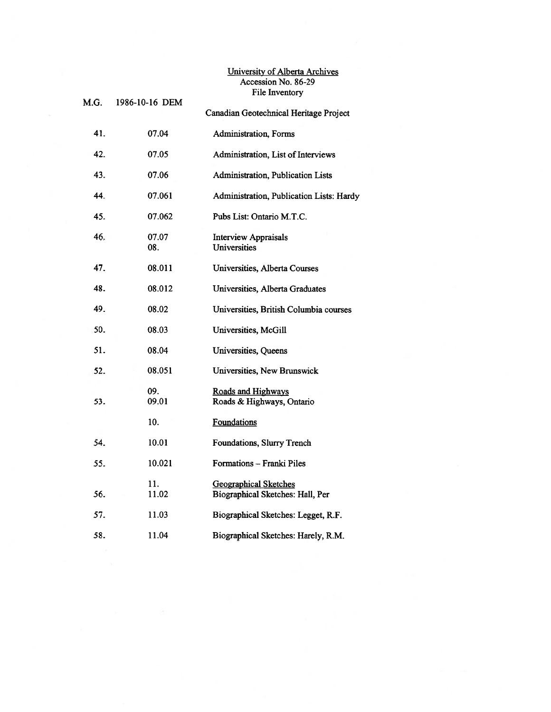| M.G. | 1986-10-16 DEM |                                                                  |
|------|----------------|------------------------------------------------------------------|
|      |                | Canadian Geotechnical Heritage Project                           |
| 41.  | 07.04          | <b>Administration</b> , Forms                                    |
| 42.  | 07.05          | Administration, List of Interviews                               |
| 43.  | 07.06          | Administration, Publication Lists                                |
| 44.  | 07.061         | Administration, Publication Lists: Hardy                         |
| 45.  | 07.062         | Pubs List: Ontario M.T.C.                                        |
| 46.  | 07.07<br>08.   | <b>Interview Appraisals</b><br>Universities                      |
| 47.  | 08.011         | Universities, Alberta Courses                                    |
| 48.  | 08.012         | Universities, Alberta Graduates                                  |
| 49.  | 08.02          | Universities, British Columbia courses                           |
| 50.  | 08.03          | Universities, McGill                                             |
| 51.  | 08.04          | Universities, Queens                                             |
| 52.  | 08.051         | Universities, New Brunswick                                      |
| 53.  | 09.<br>09.01   | <b>Roads and Highways</b><br>Roads & Highways, Ontario           |
|      | 10.            | <b>Foundations</b>                                               |
| 54.  | 10.01          | Foundations, Slurry Trench                                       |
| 55.  | 10.021         | Formations - Franki Piles                                        |
| 56.  | 11.<br>11.02   | <b>Geographical Sketches</b><br>Biographical Sketches: Hall, Per |
| 57.  | 11.03          | Biographical Sketches: Legget, R.F.                              |
| 58.  | 11.04          | Biographical Sketches: Harely, R.M.                              |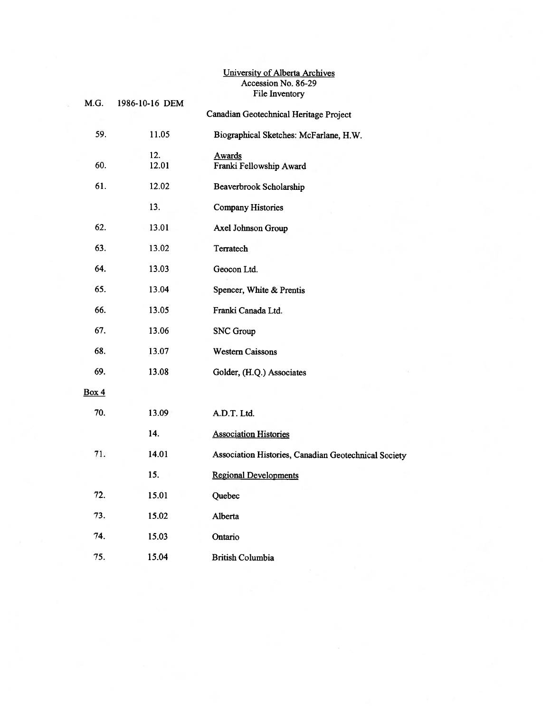| M.G.  | 1986-10-16 DEM | Canadian Geotechnical Heritage Project               |
|-------|----------------|------------------------------------------------------|
|       |                |                                                      |
| 59.   | 11.05          | Biographical Sketches: McFarlane, H.W.               |
| 60.   | 12.<br>12.01   | Awards<br>Franki Fellowship Award                    |
| 61.   | 12.02          | Beaverbrook Scholarship                              |
|       | 13.            | <b>Company Histories</b>                             |
| 62.   | 13.01          | Axel Johnson Group                                   |
| 63.   | 13.02          | Terratech                                            |
| 64.   | 13.03          | Geocon Ltd.                                          |
| 65.   | 13.04          | Spencer, White & Prentis                             |
| 66.   | 13.05          | Franki Canada Ltd.                                   |
| 67.   | 13.06          | <b>SNC</b> Group                                     |
| 68.   | 13.07          | <b>Western Caissons</b>                              |
| 69.   | 13.08          | Golder, (H.Q.) Associates                            |
| Box 4 |                |                                                      |
| 70.   | 13.09          | A.D.T. Ltd.                                          |
|       | 14.            | <b>Association Histories</b>                         |
| 71.   | 14.01          | Association Histories, Canadian Geotechnical Society |
|       | 15.            | <b>Regional Developments</b>                         |
| 72.   | 15.01          | Quebec                                               |
| 73.   | 15.02          | Alberta                                              |
| 74.   | 15.03          | Ontario                                              |
| 75.   | 15.04          | <b>British Columbia</b>                              |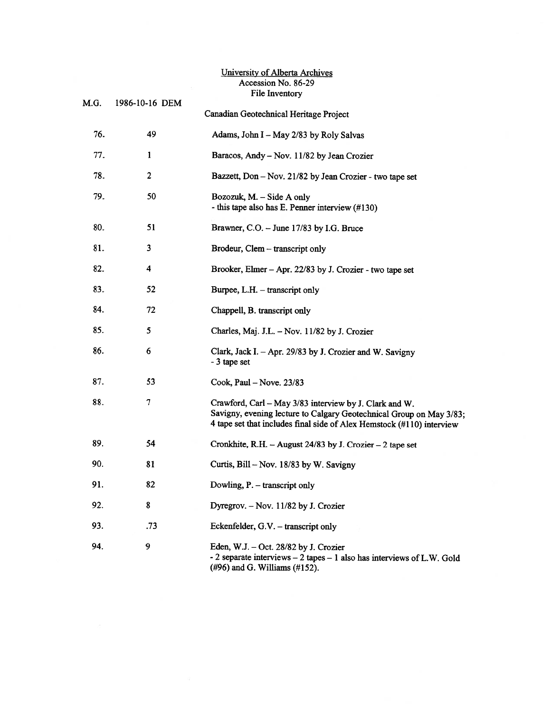|      |                  | University of Alberta Archives                                                                                                                                                                         |
|------|------------------|--------------------------------------------------------------------------------------------------------------------------------------------------------------------------------------------------------|
|      |                  | Accession No. 86-29                                                                                                                                                                                    |
| M.G. | 1986-10-16 DEM   | File Inventory                                                                                                                                                                                         |
|      |                  | Canadian Geotechnical Heritage Project                                                                                                                                                                 |
| 76.  | 49               | Adams, John I - May 2/83 by Roly Salvas                                                                                                                                                                |
| 77.  | $\mathbf 1$      | Baracos, Andy - Nov. 11/82 by Jean Crozier                                                                                                                                                             |
| 78.  | $\boldsymbol{2}$ | Bazzett, Don - Nov. 21/82 by Jean Crozier - two tape set                                                                                                                                               |
| 79.  | 50               | Bozozuk, M. – Side A only<br>- this tape also has E. Penner interview (#130)                                                                                                                           |
| 80.  | 51               | Brawner, C.O. - June 17/83 by I.G. Bruce                                                                                                                                                               |
| 81.  | 3                | Brodeur, Clem – transcript only                                                                                                                                                                        |
| 82.  | 4                | Brooker, Elmer - Apr. 22/83 by J. Crozier - two tape set                                                                                                                                               |
| 83.  | 52               | Burpee, L.H. - transcript only                                                                                                                                                                         |
| 84.  | 72               | Chappell, B. transcript only                                                                                                                                                                           |
| 85.  | 5                | Charles, Maj. J.L. - Nov. 11/82 by J. Crozier                                                                                                                                                          |
| 86.  | 6                | Clark, Jack I. - Apr. 29/83 by J. Crozier and W. Savigny<br>- 3 tape set                                                                                                                               |
| 87.  | 53               | Cook, Paul - Nove. 23/83                                                                                                                                                                               |
| 88.  | 7                | Crawford, Carl – May 3/83 interview by J. Clark and W.<br>Savigny, evening lecture to Calgary Geotechnical Group on May 3/83;<br>4 tape set that includes final side of Alex Hemstock (#110) interview |
| 89.  | 54               | Cronkhite, R.H. - August 24/83 by J. Crozier - 2 tape set                                                                                                                                              |
| 90.  | 81               | Curtis, Bill - Nov. 18/83 by W. Savigny                                                                                                                                                                |
| 91.  | 82               | Dowling, P. - transcript only                                                                                                                                                                          |
| 92.  | 8                | Dyregrov. - Nov. 11/82 by J. Crozier                                                                                                                                                                   |
| 93.  | .73              | Eckenfelder, G.V. - transcript only                                                                                                                                                                    |
| 94.  | 9                | Eden, W.J. - Oct. 28/82 by J. Crozier<br>- 2 separate interviews - 2 tapes - 1 also has interviews of L.W. Gold<br>(#96) and G. Williams (#152).                                                       |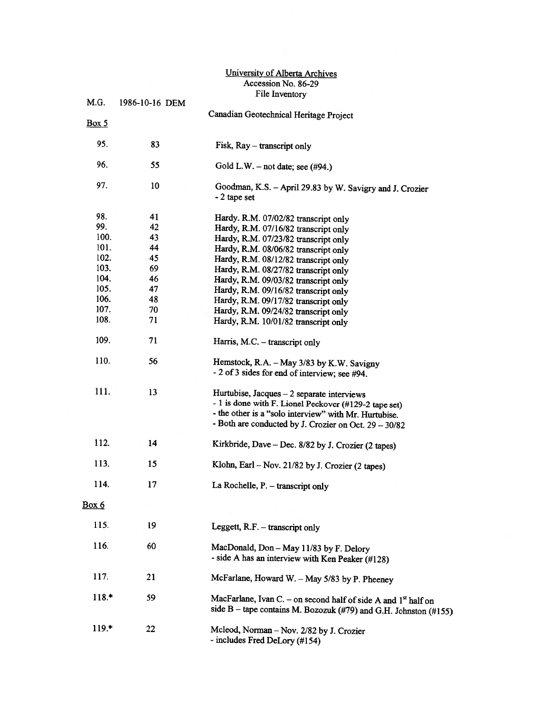| M.G.    | 1986-10-16 DEM | The meditory                                                                                                                                                                                                          |
|---------|----------------|-----------------------------------------------------------------------------------------------------------------------------------------------------------------------------------------------------------------------|
| Box 5   |                | Canadian Geotechnical Heritage Project                                                                                                                                                                                |
| 95.     | 83             | Fisk, Ray - transcript only                                                                                                                                                                                           |
| 96.     | 55             | Gold L.W. $-$ not date; see (#94.)                                                                                                                                                                                    |
| 97.     | 10             | Goodman, K.S. - April 29.83 by W. Savigry and J. Crozier<br>- 2 tape set                                                                                                                                              |
| 98.     | 41             | Hardy. R.M. 07/02/82 transcript only                                                                                                                                                                                  |
| 99.     | 42             | Hardy, R.M. 07/16/82 transcript only                                                                                                                                                                                  |
| 100.    | 43             | Hardy, R.M. 07/23/82 transcript only                                                                                                                                                                                  |
| 101.    | 44             | Hardy, R.M. 08/06/82 transcript only                                                                                                                                                                                  |
| 102.    | 45             | Hardy, R.M. 08/12/82 transcript only                                                                                                                                                                                  |
| 103.    | 69             | Hardy, R.M. 08/27/82 transcript only                                                                                                                                                                                  |
| 104.    | 46             | Hardy, R.M. 09/03/82 transcript only                                                                                                                                                                                  |
| 105.    | 47             | Hardy, R.M. 09/16/82 transcript only                                                                                                                                                                                  |
| 106.    | 48             | Hardy, R.M. 09/17/82 transcript only                                                                                                                                                                                  |
| 107.    | 70             | Hardy, R.M. 09/24/82 transcript only                                                                                                                                                                                  |
| 108.    | 71             | Hardy, R.M. 10/01/82 transcript only                                                                                                                                                                                  |
| 109.    | 71             | Harris, M.C. - transcript only                                                                                                                                                                                        |
| 110.    | 56             | Hemstock, R.A. - May 3/83 by K.W. Savigny<br>- 2 of 3 sides for end of interview; see #94.                                                                                                                            |
| 111.    | 13             | Hurtubise, Jacques - 2 separate interviews<br>- 1 is done with F. Lionel Peckover (#129-2 tape set)<br>- the other is a "solo interview" with Mr. Hurtubise.<br>- Both are conducted by J. Crozier on Oct. 29 - 30/82 |
| 112.    | 14             | Kirkbride, Dave - Dec. 8/82 by J. Crozier (2 tapes)                                                                                                                                                                   |
| 113.    | 15             | Klohn, Earl - Nov. 21/82 by J. Crozier (2 tapes)                                                                                                                                                                      |
| 114.    | 17             | La Rochelle, P. - transcript only                                                                                                                                                                                     |
| Box 6   |                |                                                                                                                                                                                                                       |
| 115.    | 19             | Leggett, R.F. - transcript only                                                                                                                                                                                       |
| 116.    | 60             | MacDonald, Don - May 11/83 by F. Delory<br>- side A has an interview with Ken Peaker (#128)                                                                                                                           |
| 117.    | 21             | McFarlane, Howard W. - May 5/83 by P. Pheeney                                                                                                                                                                         |
| $118.*$ | 59             | MacFarlane, Ivan C. – on second half of side A and $1st$ half on<br>side B – tape contains M. Bozozuk (#79) and G.H. Johnston (#155)                                                                                  |
| 119.*   | 22             | Mcleod, Norman - Nov. 2/82 by J. Crozier<br>- includes Fred DeLory (#154)                                                                                                                                             |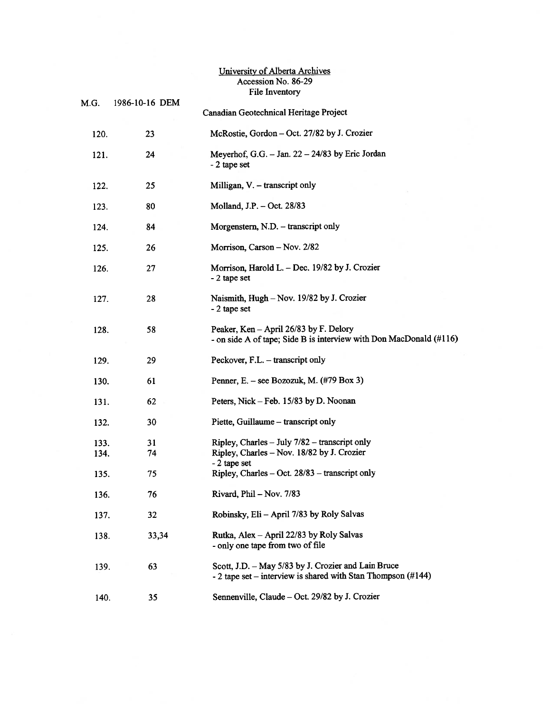|      |                | Life maemory                                                                                                                  |
|------|----------------|-------------------------------------------------------------------------------------------------------------------------------|
| M.G. | 1986-10-16 DEM | Canadian Geotechnical Heritage Project                                                                                        |
| 120. | 23             | McRostie, Gordon - Oct. 27/82 by J. Crozier                                                                                   |
| 121. | 24             | Meyerhof, G.G. $-$ Jan. 22 $-$ 24/83 by Eric Jordan<br>- 2 tape set                                                           |
| 122. | 25             | Milligan, V. - transcript only                                                                                                |
| 123. | 80             | Molland, J.P. - Oct. 28/83                                                                                                    |
| 124. | 84             | Morgenstern, N.D. – transcript only                                                                                           |
| 125. | 26             | Morrison, Carson - Nov. 2/82                                                                                                  |
| 126. | 27             | Morrison, Harold L. – Dec. 19/82 by J. Crozier<br>- 2 tape set                                                                |
| 127. | 28             | Naismith, Hugh - Nov. 19/82 by J. Crozier<br>- 2 tape set                                                                     |
| 128. | 58             | Peaker, Ken - April 26/83 by F. Delory<br>- on side A of tape; Side B is interview with Don MacDonald $(\text{\#}116)$        |
| 129. | 29             | Peckover, F.L. – transcript only                                                                                              |
| 130. | 61             | Penner, E. - see Bozozuk, M. (#79 Box 3)                                                                                      |
| 131. | 62             | Peters, Nick – Feb. 15/83 by D. Noonan                                                                                        |
| 132. | 30             | Piette, Guillaume - transcript only                                                                                           |
| 133. | 31             | Ripley, Charles - July 7/82 - transcript only                                                                                 |
| 134. | 74             | Ripley, Charles - Nov. 18/82 by J. Crozier<br>- 2 tape set                                                                    |
| 135. | 75             | Ripley, Charles – Oct. 28/83 – transcript only                                                                                |
| 136. | 76             | Rivard, Phil - Nov. 7/83                                                                                                      |
| 137. | 32             | Robinsky, Eli - April 7/83 by Roly Salvas                                                                                     |
| 138. | 33,34          | Rutka, Alex - April 22/83 by Roly Salvas<br>- only one tape from two of file                                                  |
| 139. | 63             | Scott, J.D. - May 5/83 by J. Crozier and Lain Bruce<br>- 2 tape set – interview is shared with Stan Thompson $(\text{\#}144)$ |
| 140. | 35             | Sennenville, Claude - Oct. 29/82 by J. Crozier                                                                                |